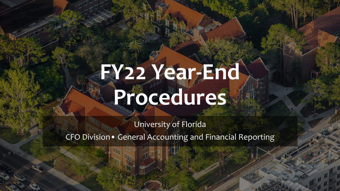### **FY22 Year-End Procedures**

University of Florida CFO Division• General Accounting and Financial Reporting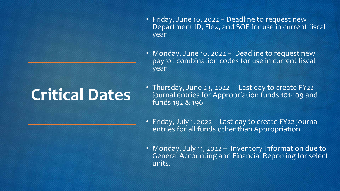#### **Critical Dates**

- Friday, June 10, 2022 Deadline to request new Department ID, Flex, and SOF for use in current fiscal year
- Monday, June 10, 2022 Deadline to request new payroll combination codes for use in current fiscal year
- Thursday, June 23, 2022 Last day to create FY22 journal entries for Appropriation funds 101-109 and funds 192 & 196
- Friday, July 1, 2022 Last day to create FY22 journal entries for all funds other than Appropriation
- Monday, July 11, 2022 Inventory Information due to General Accounting and Financial Reporting for select units.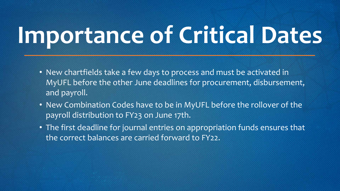## **Importance of Critical Dates**

- New chartfields take a few days to process and must be activated in MyUFL before the other June deadlines for procurement, disbursement, and payroll.
- New Combination Codes have to be in MyUFL before the rollover of the payroll distribution to FY23 on June 17th.
- The first deadline for journal entries on appropriation funds ensures that the correct balances are carried forward to FY22.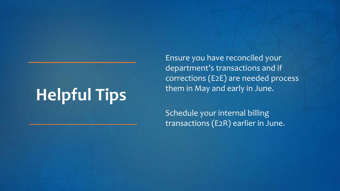#### **Helpful Tips**

Ensure you have reconciled your department's transactions and if corrections (E2E) are needed process them in May and early in June.

Schedule your internal billing transactions (E2R) earlier in June.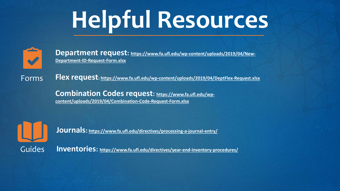## **Helpful Resources**



[Department request: https://www.fa.ufl.edu/wp-content/uploads/2019/04/New-](https://www.fa.ufl.edu/wp-content/uploads/2019/04/New-Department-ID-Request-Form.xlsx)**Department-ID-Request-Form.xlsx**

Forms **Flex request: <https://www.fa.ufl.edu/wp-content/uploads/2019/04/DeptFlex-Request.xlsx>**

> **[Combination Codes request: https://www.fa.ufl.edu/wp](https://www.fa.ufl.edu/wp-content/uploads/2019/04/Combination-Code-Request-Form.xlsx)content/uploads/2019/04/Combination-Code-Request-Form.xlsx**



**Journals: <https://www.fa.ufl.edu/directives/processing-a-journal-entry/>**

Guides **Inventories:<https://www.fa.ufl.edu/directives/year-end-inventory-procedures/>**